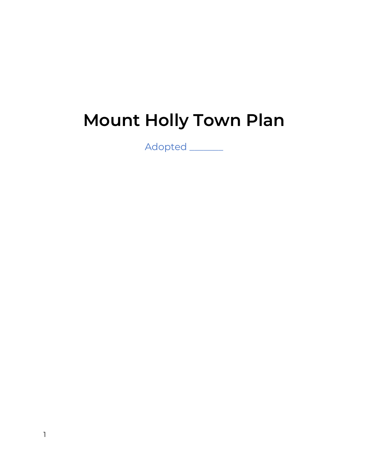# **Mount Holly Town Plan**

Adopted \_\_\_\_\_\_\_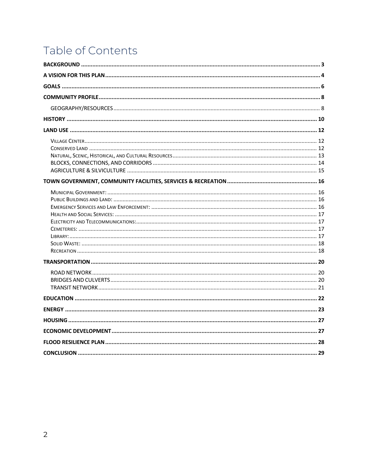# Table of Contents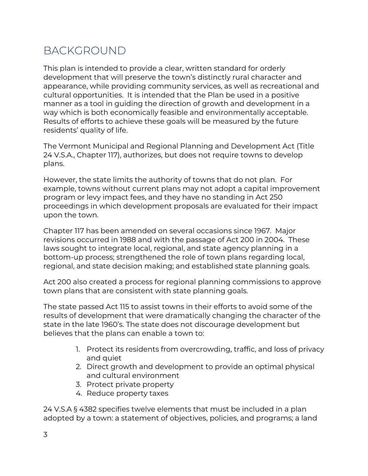### BACKGROUND

This plan is intended to provide a clear, written standard for orderly development that will preserve the town's distinctly rural character and appearance, while providing community services, as well as recreational and cultural opportunities. It is intended that the Plan be used in a positive manner as a tool in guiding the direction of growth and development in a way which is both economically feasible and environmentally acceptable. Results of efforts to achieve these goals will be measured by the future residents' quality of life.

The Vermont Municipal and Regional Planning and Development Act (Title 24 V.S.A., Chapter 117), authorizes, but does not require towns to develop plans.

However, the state limits the authority of towns that do not plan. For example, towns without current plans may not adopt a capital improvement program or levy impact fees, and they have no standing in Act 250 proceedings in which development proposals are evaluated for their impact upon the town.

Chapter 117 has been amended on several occasions since 1967. Major revisions occurred in 1988 and with the passage of Act 200 in 2004. These laws sought to integrate local, regional, and state agency planning in a bottom-up process; strengthened the role of town plans regarding local, regional, and state decision making; and established state planning goals.

Act 200 also created a process for regional planning commissions to approve town plans that are consistent with state planning goals.

The state passed Act 115 to assist towns in their efforts to avoid some of the results of development that were dramatically changing the character of the state in the late 1960's. The state does not discourage development but believes that the plans can enable a town to:

- 1. Protect its residents from overcrowding, traffic, and loss of privacy and quiet
- 2. Direct growth and development to provide an optimal physical and cultural environment
- 3. Protect private property
- 4. Reduce property taxes

24 V.S.A § 4382 specifies twelve elements that must be included in a plan adopted by a town: a statement of objectives, policies, and programs; a land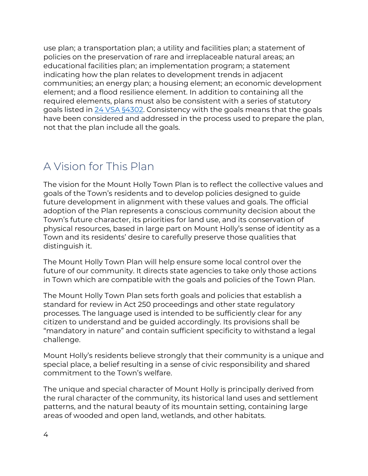use plan; a transportation plan; a utility and facilities plan; a statement of policies on the preservation of rare and irreplaceable natural areas; an educational facilities plan; an implementation program; a statement indicating how the plan relates to development trends in adjacent communities; an energy plan; a housing element; an economic development element; and a flood resilience element. In addition to containing all the required elements, plans must also be consistent with a series of statutory goals listed in 24 VSA §4302. Consistency with the goals means that the goals have been considered and addressed in the process used to prepare the plan, not that the plan include all the goals.

#### A Vision for This Plan

The vision for the Mount Holly Town Plan is to reflect the collective values and goals of the Town's residents and to develop policies designed to guide future development in alignment with these values and goals. The official adoption of the Plan represents a conscious community decision about the Town's future character, its priorities for land use, and its conservation of physical resources, based in large part on Mount Holly's sense of identity as a Town and its residents' desire to carefully preserve those qualities that distinguish it.

The Mount Holly Town Plan will help ensure some local control over the future of our community. It directs state agencies to take only those actions in Town which are compatible with the goals and policies of the Town Plan.

The Mount Holly Town Plan sets forth goals and policies that establish a standard for review in Act 250 proceedings and other state regulatory processes. The language used is intended to be sufficiently clear for any citizen to understand and be guided accordingly. Its provisions shall be "mandatory in nature" and contain sufficient specificity to withstand a legal challenge.

Mount Holly's residents believe strongly that their community is a unique and special place, a belief resulting in a sense of civic responsibility and shared commitment to the Town's welfare.

The unique and special character of Mount Holly is principally derived from the rural character of the community, its historical land uses and settlement patterns, and the natural beauty of its mountain setting, containing large areas of wooded and open land, wetlands, and other habitats.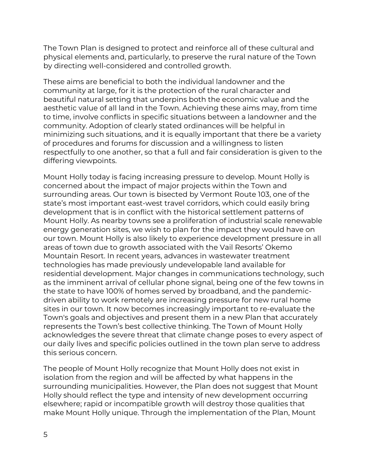The Town Plan is designed to protect and reinforce all of these cultural and physical elements and, particularly, to preserve the rural nature of the Town by directing well-considered and controlled growth.

These aims are beneficial to both the individual landowner and the community at large, for it is the protection of the rural character and beautiful natural setting that underpins both the economic value and the aesthetic value of all land in the Town. Achieving these aims may, from time to time, involve conflicts in specific situations between a landowner and the community. Adoption of clearly stated ordinances will be helpful in minimizing such situations, and it is equally important that there be a variety of procedures and forums for discussion and a willingness to listen respectfully to one another, so that a full and fair consideration is given to the differing viewpoints.

Mount Holly today is facing increasing pressure to develop. Mount Holly is concerned about the impact of major projects within the Town and surrounding areas. Our town is bisected by Vermont Route 103, one of the state's most important east-west travel corridors, which could easily bring development that is in conflict with the historical settlement patterns of Mount Holly. As nearby towns see a proliferation of industrial scale renewable energy generation sites, we wish to plan for the impact they would have on our town. Mount Holly is also likely to experience development pressure in all areas of town due to growth associated with the Vail Resorts' Okemo Mountain Resort. In recent years, advances in wastewater treatment technologies has made previously undevelopable land available for residential development. Major changes in communications technology, such as the imminent arrival of cellular phone signal, being one of the few towns in the state to have 100% of homes served by broadband, and the pandemicdriven ability to work remotely are increasing pressure for new rural home sites in our town. It now becomes increasingly important to re-evaluate the Town's goals and objectives and present them in a new Plan that accurately represents the Town's best collective thinking. The Town of Mount Holly acknowledges the severe threat that climate change poses to every aspect of our daily lives and specific policies outlined in the town plan serve to address this serious concern.

The people of Mount Holly recognize that Mount Holly does not exist in isolation from the region and will be affected by what happens in the surrounding municipalities. However, the Plan does not suggest that Mount Holly should reflect the type and intensity of new development occurring elsewhere; rapid or incompatible growth will destroy those qualities that make Mount Holly unique. Through the implementation of the Plan, Mount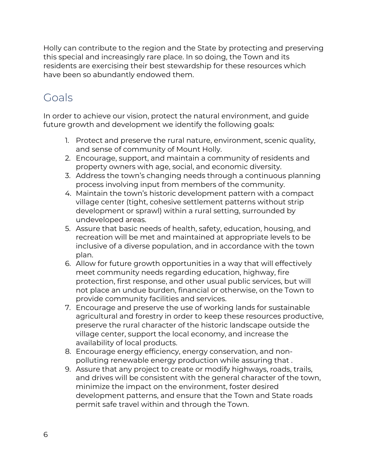Holly can contribute to the region and the State by protecting and preserving this special and increasingly rare place. In so doing, the Town and its residents are exercising their best stewardship for these resources which have been so abundantly endowed them.

## Goals

In order to achieve our vision, protect the natural environment, and guide future growth and development we identify the following goals:

- 1. Protect and preserve the rural nature, environment, scenic quality, and sense of community of Mount Holly.
- 2. Encourage, support, and maintain a community of residents and property owners with age, social, and economic diversity.
- 3. Address the town's changing needs through a continuous planning process involving input from members of the community.
- 4. Maintain the town's historic development pattern with a compact village center (tight, cohesive settlement patterns without strip development or sprawl) within a rural setting, surrounded by undeveloped areas.
- 5. Assure that basic needs of health, safety, education, housing, and recreation will be met and maintained at appropriate levels to be inclusive of a diverse population, and in accordance with the town plan.
- 6. Allow for future growth opportunities in a way that will effectively meet community needs regarding education, highway, fire protection, first response, and other usual public services, but will not place an undue burden, financial or otherwise, on the Town to provide community facilities and services.
- 7. Encourage and preserve the use of working lands for sustainable agricultural and forestry in order to keep these resources productive, preserve the rural character of the historic landscape outside the village center, support the local economy, and increase the availability of local products.
- 8. Encourage energy efficiency, energy conservation, and nonpolluting renewable energy production while assuring that .
- 9. Assure that any project to create or modify highways, roads, trails, and drives will be consistent with the general character of the town, minimize the impact on the environment, foster desired development patterns, and ensure that the Town and State roads permit safe travel within and through the Town.